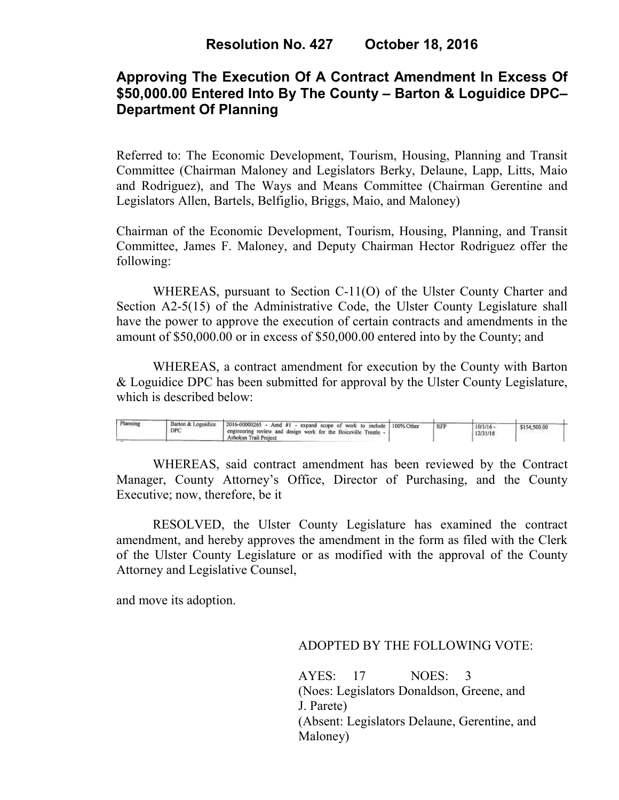# **Approving The Execution Of A Contract Amendment In Excess Of \$50,000.00 Entered Into By The County – Barton & Loguidice DPC– Department Of Planning**

Referred to: The Economic Development, Tourism, Housing, Planning and Transit Committee (Chairman Maloney and Legislators Berky, Delaune, Lapp, Litts, Maio and Rodriguez), and The Ways and Means Committee (Chairman Gerentine and Legislators Allen, Bartels, Belfiglio, Briggs, Maio, and Maloney)

Chairman of the Economic Development, Tourism, Housing, Planning, and Transit Committee, James F. Maloney, and Deputy Chairman Hector Rodriguez offer the following:

WHEREAS, pursuant to Section C-11(O) of the Ulster County Charter and Section A2-5(15) of the Administrative Code, the Ulster County Legislature shall have the power to approve the execution of certain contracts and amendments in the amount of \$50,000.00 or in excess of \$50,000.00 entered into by the County; and

 WHEREAS, a contract amendment for execution by the County with Barton & Loguidice DPC has been submitted for approval by the Ulster County Legislature, which is described below:

| Planning<br>DPC | Barton & Loguidice<br>$\sim$ 12016-00000265 - Amd #1 - expand scope of work to include 100% Other<br>a engineering review and design work for the Boiceville Trestle - <sup>1</sup><br>Ashokan Trail Project |  | <b>RFP</b> | 10/1/16<br>12/31/18 | \$154,500.00 |  |
|-----------------|--------------------------------------------------------------------------------------------------------------------------------------------------------------------------------------------------------------|--|------------|---------------------|--------------|--|
|-----------------|--------------------------------------------------------------------------------------------------------------------------------------------------------------------------------------------------------------|--|------------|---------------------|--------------|--|

WHEREAS, said contract amendment has been reviewed by the Contract Manager, County Attorney's Office, Director of Purchasing, and the County Executive; now, therefore, be it

RESOLVED, the Ulster County Legislature has examined the contract amendment, and hereby approves the amendment in the form as filed with the Clerk of the Ulster County Legislature or as modified with the approval of the County Attorney and Legislative Counsel,

and move its adoption.

## ADOPTED BY THE FOLLOWING VOTE:

AYES: 17 NOES: 3 (Noes: Legislators Donaldson, Greene, and J. Parete) (Absent: Legislators Delaune, Gerentine, and Maloney)